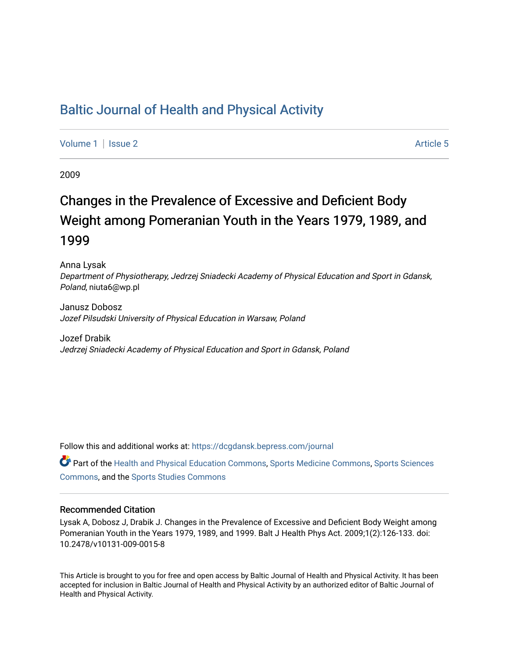## [Baltic Journal of Health and Physical Activity](https://dcgdansk.bepress.com/journal)

[Volume 1](https://dcgdansk.bepress.com/journal/vol1) | [Issue 2](https://dcgdansk.bepress.com/journal/vol1/iss2) Article 5

2009

# Changes in the Prevalence of Excessive and Deficient Body Weight among Pomeranian Youth in the Years 1979, 1989, and 1999

Anna Lysak Department of Physiotherapy, Jedrzej Sniadecki Academy of Physical Education and Sport in Gdansk, Poland, niuta6@wp.pl

Janusz Dobosz Jozef Pilsudski University of Physical Education in Warsaw, Poland

Jozef Drabik Jedrzej Sniadecki Academy of Physical Education and Sport in Gdansk, Poland

Follow this and additional works at: [https://dcgdansk.bepress.com/journal](https://dcgdansk.bepress.com/journal?utm_source=dcgdansk.bepress.com%2Fjournal%2Fvol1%2Fiss2%2F5&utm_medium=PDF&utm_campaign=PDFCoverPages)

Part of the [Health and Physical Education Commons](http://network.bepress.com/hgg/discipline/1327?utm_source=dcgdansk.bepress.com%2Fjournal%2Fvol1%2Fiss2%2F5&utm_medium=PDF&utm_campaign=PDFCoverPages), [Sports Medicine Commons,](http://network.bepress.com/hgg/discipline/1331?utm_source=dcgdansk.bepress.com%2Fjournal%2Fvol1%2Fiss2%2F5&utm_medium=PDF&utm_campaign=PDFCoverPages) [Sports Sciences](http://network.bepress.com/hgg/discipline/759?utm_source=dcgdansk.bepress.com%2Fjournal%2Fvol1%2Fiss2%2F5&utm_medium=PDF&utm_campaign=PDFCoverPages) [Commons](http://network.bepress.com/hgg/discipline/759?utm_source=dcgdansk.bepress.com%2Fjournal%2Fvol1%2Fiss2%2F5&utm_medium=PDF&utm_campaign=PDFCoverPages), and the [Sports Studies Commons](http://network.bepress.com/hgg/discipline/1198?utm_source=dcgdansk.bepress.com%2Fjournal%2Fvol1%2Fiss2%2F5&utm_medium=PDF&utm_campaign=PDFCoverPages) 

#### Recommended Citation

Lysak A, Dobosz J, Drabik J. Changes in the Prevalence of Excessive and Deficient Body Weight among Pomeranian Youth in the Years 1979, 1989, and 1999. Balt J Health Phys Act. 2009;1(2):126-133. doi: 10.2478/v10131-009-0015-8

This Article is brought to you for free and open access by Baltic Journal of Health and Physical Activity. It has been accepted for inclusion in Baltic Journal of Health and Physical Activity by an authorized editor of Baltic Journal of Health and Physical Activity.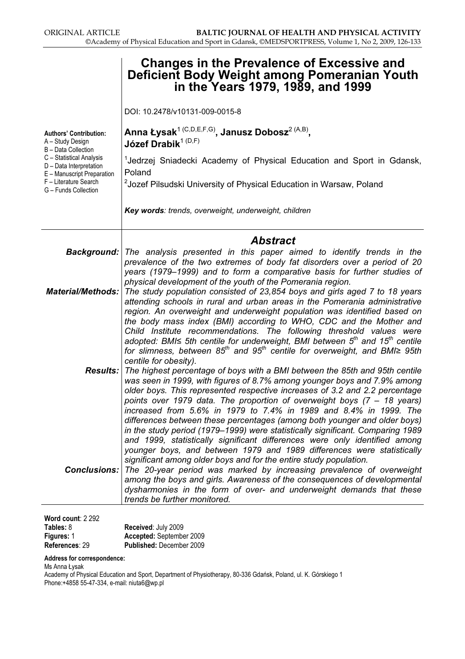|                                                                             | <b>Changes in the Prevalence of Excessive and</b><br>Deficient Body Weight among Pomeranian Youth<br>in the Years 1979, 1989, and 1999                                                                                                                                                                                                                                                                                                                                                                    |
|-----------------------------------------------------------------------------|-----------------------------------------------------------------------------------------------------------------------------------------------------------------------------------------------------------------------------------------------------------------------------------------------------------------------------------------------------------------------------------------------------------------------------------------------------------------------------------------------------------|
|                                                                             | DOI: 10.2478/v10131-009-0015-8                                                                                                                                                                                                                                                                                                                                                                                                                                                                            |
| <b>Authors' Contribution:</b><br>A - Study Design<br>B - Data Collection    | Anna Łysak <sup>1 (C,D,E,F,G)</sup> , Janusz Dobosz <sup>2 (A,B)</sup> ,<br>Józef Drabik <sup>1 (D,F)</sup>                                                                                                                                                                                                                                                                                                                                                                                               |
| C - Statistical Analysis<br>D - Data Interpretation                         | <sup>1</sup> Jedrzej Sniadecki Academy of Physical Education and Sport in Gdansk,<br>Poland                                                                                                                                                                                                                                                                                                                                                                                                               |
| E - Manuscript Preparation<br>F - Literature Search<br>G - Funds Collection | <sup>2</sup> Jozef Pilsudski University of Physical Education in Warsaw, Poland                                                                                                                                                                                                                                                                                                                                                                                                                           |
|                                                                             | Key words: trends, overweight, underweight, children                                                                                                                                                                                                                                                                                                                                                                                                                                                      |
|                                                                             | <b>Abstract</b>                                                                                                                                                                                                                                                                                                                                                                                                                                                                                           |
|                                                                             | <b>Background:</b> The analysis presented in this paper aimed to identify trends in the<br>prevalence of the two extremes of body fat disorders over a period of 20                                                                                                                                                                                                                                                                                                                                       |
|                                                                             | years (1979–1999) and to form a comparative basis for further studies of<br>physical development of the youth of the Pomerania region.<br><b>Material/Methods:</b> The study population consisted of 23,854 boys and girls aged 7 to 18 years<br>attending schools in rural and urban areas in the Pomerania administrative                                                                                                                                                                               |
|                                                                             | region. An overweight and underweight population was identified based on<br>the body mass index (BMI) according to WHO, CDC and the Mother and<br>Child Institute recommendations. The following threshold values were<br>adopted: BMI $\leq$ 5th centile for underweight, BMI between $5th$ and 15 <sup>th</sup> centile<br>for slimness, between $85^{th}$ and $95^{th}$ centile for overweight, and BMI $\geq 95$ th<br>centile for obesity).                                                          |
|                                                                             | <b>Results:</b> The highest percentage of boys with a BMI between the 85th and 95th centile<br>was seen in 1999, with figures of 8.7% among younger boys and 7.9% among<br>older boys. This represented respective increases of 3.2 and 2.2 percentage<br>points over 1979 data. The proportion of overweight boys (7 - 18 years)<br>increased from 5.6% in 1979 to 7.4% in 1989 and 8.4% in 1999. The                                                                                                    |
|                                                                             | differences between these percentages (among both younger and older boys)<br>in the study period (1979–1999) were statistically significant. Comparing 1989                                                                                                                                                                                                                                                                                                                                               |
|                                                                             | and 1999, statistically significant differences were only identified among<br>younger boys, and between 1979 and 1989 differences were statistically<br>significant among older boys and for the entire study population.<br><b>Conclusions:</b> The 20-year period was marked by increasing prevalence of overweight<br>among the boys and girls. Awareness of the consequences of developmental<br>dysharmonies in the form of over- and underweight demands that these<br>trends be further monitored. |

Word count: 2 292  $\mathsf{T}$ 

| Tables: 8         | Received: July 2009             |
|-------------------|---------------------------------|
| <b>Figures: 1</b> | Accepted: September 2009        |
| References: 29    | <b>Published: December 2009</b> |

Address for correspondence:

Ms Anna Łysak Academy of Physical Education and Sport, Department of Physiotherapy, 80-336 Gdańsk, Poland, ul. K. Górskiego 1 Phone:+4858 55-47-334, e-mail: niuta6@wp.pl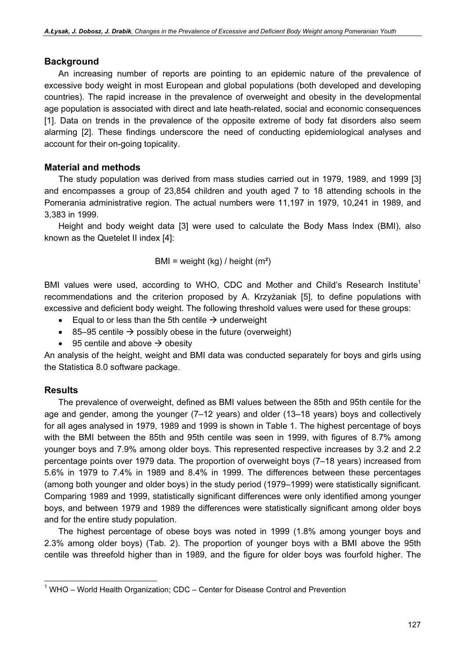#### Background

An increasing number of reports are pointing to an epidemic nature of the prevalence of excessive body weight in most European and global populations (both developed and developing countries). The rapid increase in the prevalence of overweight and obesity in the developmental age population is associated with direct and late heath-related, social and economic consequences [1]. Data on trends in the prevalence of the opposite extreme of body fat disorders also seem alarming [2]. These findings underscore the need of conducting epidemiological analyses and account for their on-going topicality.

#### Material and methods

The study population was derived from mass studies carried out in 1979, 1989, and 1999 [3] and encompasses a group of 23,854 children and youth aged 7 to 18 attending schools in the Pomerania administrative region. The actual numbers were 11,197 in 1979, 10,241 in 1989, and 3,383 in 1999.

Height and body weight data [3] were used to calculate the Body Mass Index (BMI), also known as the Quetelet II index [4]:

BMI = weight  $(kg)$  / height  $(m<sup>2</sup>)$ 

BMI values were used, according to WHO, CDC and Mother and Child's Research Institute<sup>1</sup> recommendations and the criterion proposed by A. Krzyżaniak [5], to define populations with excessive and deficient body weight. The following threshold values were used for these groups:

- Equal to or less than the 5th centile  $\rightarrow$  underweight
- 85–95 centile  $\rightarrow$  possibly obese in the future (overweight)
- 95 centile and above  $\rightarrow$  obesity

An analysis of the height, weight and BMI data was conducted separately for boys and girls using the Statistica 8.0 software package.

### Results

The prevalence of overweight, defined as BMI values between the 85th and 95th centile for the age and gender, among the younger (7–12 years) and older (13–18 years) boys and collectively for all ages analysed in 1979, 1989 and 1999 is shown in Table 1. The highest percentage of boys with the BMI between the 85th and 95th centile was seen in 1999, with figures of 8.7% among younger boys and 7.9% among older boys. This represented respective increases by 3.2 and 2.2 percentage points over 1979 data. The proportion of overweight boys (7–18 years) increased from 5.6% in 1979 to 7.4% in 1989 and 8.4% in 1999. The differences between these percentages (among both younger and older boys) in the study period (1979–1999) were statistically significant. Comparing 1989 and 1999, statistically significant differences were only identified among younger boys, and between 1979 and 1989 the differences were statistically significant among older boys and for the entire study population.

The highest percentage of obese boys was noted in 1999 (1.8% among younger boys and 2.3% among older boys) (Tab. 2). The proportion of younger boys with a BMI above the 95th centile was threefold higher than in 1989, and the figure for older boys was fourfold higher. The

 $1$  WHO – World Health Organization; CDC – Center for Disease Control and Prevention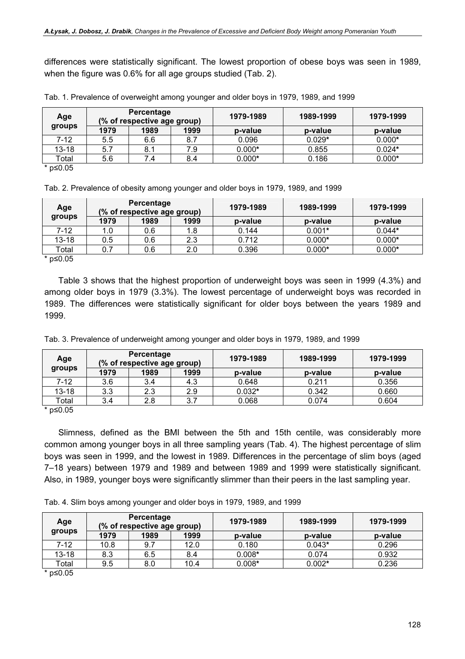differences were statistically significant. The lowest proportion of obese boys was seen in 1989, when the figure was 0.6% for all age groups studied (Tab. 2).

| Age                        | Percentage<br>(% of respective age group) |      |      | 1979-1989 | 1989-1999 | 1979-1999 |
|----------------------------|-------------------------------------------|------|------|-----------|-----------|-----------|
| groups                     | 1979                                      | 1989 | 1999 | p-value   | p-value   | p-value   |
| $7 - 12$                   | 5.5                                       | 6.6  | 8.7  | 0.096     | $0.029*$  | $0.000*$  |
| $13 - 18$                  | 5.7                                       | 8.1  | 7.9  | $0.000*$  | 0.855     | $0.024*$  |
| Total                      | 5.6                                       | 7.4  | 8.4  | $0.000*$  | 0.186     | $0.000*$  |
| $*$ n< $\Omega$ $\Omega$ 5 |                                           |      |      |           |           |           |

Tab. 1. Prevalence of overweight among younger and older boys in 1979, 1989, and 1999

p≤0.05

Tab. 2. Prevalence of obesity among younger and older boys in 1979, 1989, and 1999

| Age                                    | Percentage<br>(% of respective age group) |      |      | 1979-1989 | 1989-1999 | 1979-1999 |
|----------------------------------------|-------------------------------------------|------|------|-----------|-----------|-----------|
| groups                                 | 1979                                      | 1989 | 1999 | p-value   | p-value   | p-value   |
| 7-12                                   | 1.0                                       | 0.6  | 8.،  | 0.144     | $0.001*$  | $0.044*$  |
| $13 - 18$                              | 0.5                                       | 0.6  | 2.3  | 0.712     | $0.000*$  | $0.000*$  |
| Total                                  | 0.7                                       | 0.6  | 2.0  | 0.396     | $0.000*$  | $0.000*$  |
| $*$ n< $\cap$ $\cap$ $\overline{\cap}$ |                                           |      |      |           |           |           |

p≤0.05

Table 3 shows that the highest proportion of underweight boys was seen in 1999 (4.3%) and among older boys in 1979 (3.3%). The lowest percentage of underweight boys was recorded in 1989. The differences were statistically significant for older boys between the years 1989 and 1999.

| Tab. 3. Prevalence of underweight among younger and older boys in 1979, 1989, and 1999 |  |  |
|----------------------------------------------------------------------------------------|--|--|
|----------------------------------------------------------------------------------------|--|--|

| Age      | Percentage<br>(% of respective age group) |      |      | 1979-1989 | 1989-1999 | 1979-1999 |
|----------|-------------------------------------------|------|------|-----------|-----------|-----------|
| groups   | 1979                                      | 1989 | 1999 | p-value   | p-value   | p-value   |
| $7 - 12$ | 3.6                                       | 3.4  | 4.3  | 0.648     | 0.211     | 0.356     |
| 13-18    | 3.3                                       | 2.3  | 2.9  | $0.032*$  | 0.342     | 0.660     |
| Total    | 3.4                                       | 2.8  | ◠    | 0.068     | 0.074     | 0.604     |

\* p≤0.05

Slimness, defined as the BMI between the 5th and 15th centile, was considerably more common among younger boys in all three sampling years (Tab. 4). The highest percentage of slim boys was seen in 1999, and the lowest in 1989. Differences in the percentage of slim boys (aged 7–18 years) between 1979 and 1989 and between 1989 and 1999 were statistically significant. Also, in 1989, younger boys were significantly slimmer than their peers in the last sampling year.

Tab. 4. Slim boys among younger and older boys in 1979, 1989, and 1999

| Age                                    | Percentage<br>(% of respective age group) |      |      | 1979-1989 | 1989-1999 | 1979-1999 |
|----------------------------------------|-------------------------------------------|------|------|-----------|-----------|-----------|
| groups                                 | 1979                                      | 1989 | 1999 | p-value   | p-value   | p-value   |
| 7-12                                   | 10.8                                      | 9.7  | 12.0 | 0.180     | $0.043*$  | 0.296     |
| $13 - 18$                              | 8.3                                       | 6.5  | 8.4  | $0.008*$  | 0.074     | 0.932     |
| Total                                  | 9.5                                       | 8.0  | 10.4 | $0.008*$  | $0.002*$  | 0.236     |
| $*$ n< $\cap$ $\cap$ $\overline{\cap}$ |                                           |      |      |           |           |           |

\* p≤0.05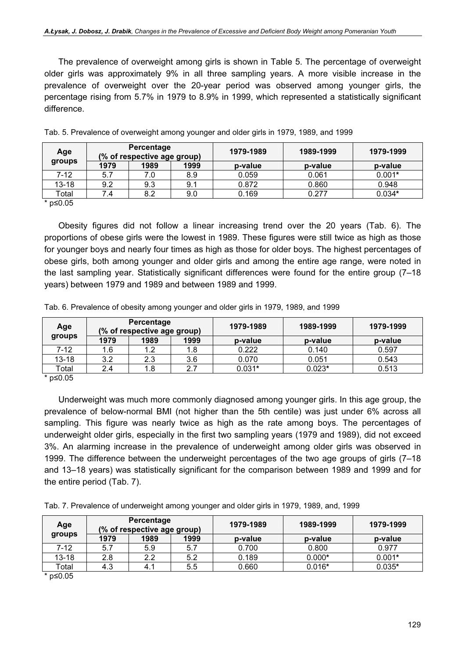The prevalence of overweight among girls is shown in Table 5. The percentage of overweight older girls was approximately 9% in all three sampling years. A more visible increase in the prevalence of overweight over the 20-year period was observed among younger girls, the percentage rising from 5.7% in 1979 to 8.9% in 1999, which represented a statistically significant difference.

| Age                        | Percentage<br>(% of respective age group) |      |      | 1979-1989 | 1989-1999 | 1979-1999 |
|----------------------------|-------------------------------------------|------|------|-----------|-----------|-----------|
| groups                     | 1979                                      | 1989 | 1999 | p-value   | p-value   | p-value   |
| $7 - 12$                   | 5.7                                       | 7.0  | 8.9  | 0.059     | 0.061     | $0.001*$  |
| $13 - 18$                  | 9.2                                       | 9.3  | 9.1  | 0.872     | 0.860     | 0.948     |
| Total                      | 7.4                                       | 8.2  | 9.0  | 0.169     | 0.277     | $0.034*$  |
| $*$ n< $\Omega$ $\Omega$ 5 |                                           |      |      |           |           |           |

Tab. 5. Prevalence of overweight among younger and older girls in 1979, 1989, and 1999

\* p≤0.05

Obesity figures did not follow a linear increasing trend over the 20 years (Tab. 6). The proportions of obese girls were the lowest in 1989. These figures were still twice as high as those for younger boys and nearly four times as high as those for older boys. The highest percentages of obese girls, both among younger and older girls and among the entire age range, were noted in the last sampling year. Statistically significant differences were found for the entire group (7–18 years) between 1979 and 1989 and between 1989 and 1999.

| Tab. 6. Prevalence of obesity among younger and older girls in 1979, 1989, and 1999 |
|-------------------------------------------------------------------------------------|
|-------------------------------------------------------------------------------------|

| Age       | Percentage<br>(% of respective age group) |      |      | 1979-1989 | 1989-1999 | 1979-1999 |
|-----------|-------------------------------------------|------|------|-----------|-----------|-----------|
| groups    | 1979                                      | 1989 | 1999 | p-value   | p-value   | p-value   |
| $7 - 12$  | 1.6                                       | 1.2  | . 8  | 0.222     | 0.140     | 0.597     |
| $13 - 18$ | 3.2                                       | 2.3  | 3.6  | 0.070     | 0.051     | 0.543     |
| Total     | 2.4                                       | 1.8  |      | $0.031*$  | $0.023*$  | 0.513     |
| * n<∩ ∩5  |                                           |      |      |           |           |           |

\* p≤0.05

Underweight was much more commonly diagnosed among younger girls. In this age group, the prevalence of below-normal BMI (not higher than the 5th centile) was just under 6% across all sampling. This figure was nearly twice as high as the rate among boys. The percentages of underweight older girls, especially in the first two sampling years (1979 and 1989), did not exceed 3%. An alarming increase in the prevalence of underweight among older girls was observed in 1999. The difference between the underweight percentages of the two age groups of girls (7–18 and 13–18 years) was statistically significant for the comparison between 1989 and 1999 and for the entire period (Tab. 7).

Tab. 7. Prevalence of underweight among younger and older girls in 1979, 1989, and, 1999

| Age       | Percentage<br>(% of respective age group) |      |      | 1979-1989 | 1989-1999 | 1979-1999 |
|-----------|-------------------------------------------|------|------|-----------|-----------|-----------|
| groups    | 1979                                      | 1989 | 1999 | p-value   | p-value   | p-value   |
| 7-12      | 5.7                                       | 5.9  | 5.7  | 0.700     | 0.800     | 0.977     |
| $13 - 18$ | 2.8                                       | 2.2  | 5.2  | 0.189     | $0.000*$  | $0.001*$  |
| Total     | 4.3                                       | 4.1  | 5.5  | 0.660     | $0.016*$  | $0.035*$  |
| * n<0.05  |                                           |      |      |           |           |           |

\* p≤0.05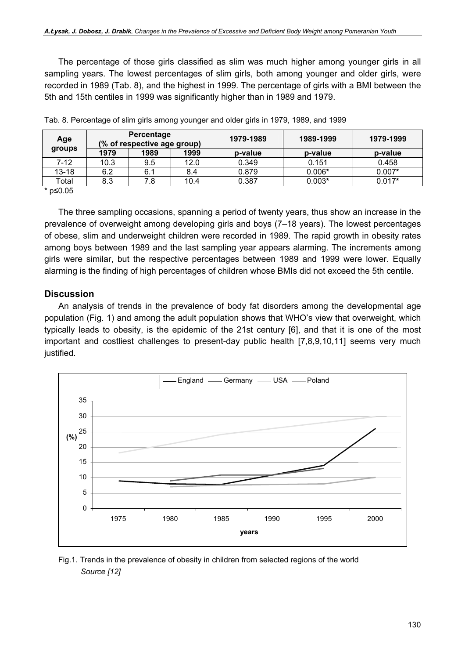The percentage of those girls classified as slim was much higher among younger girls in all sampling years. The lowest percentages of slim girls, both among younger and older girls, were recorded in 1989 (Tab. 8), and the highest in 1999. The percentage of girls with a BMI between the 5th and 15th centiles in 1999 was significantly higher than in 1989 and 1979.

| Age                        | Percentage<br>(% of respective age group) |      |      | 1979-1989 | 1989-1999 | 1979-1999 |
|----------------------------|-------------------------------------------|------|------|-----------|-----------|-----------|
| groups                     | 1979                                      | 1989 | 1999 | p-value   | p-value   | p-value   |
| 7-12                       | 10.3                                      | 9.5  | 12.0 | 0.349     | 0.151     | 0.458     |
| $13 - 18$                  | 6.2                                       | 6.1  | 8.4  | 0.879     | $0.006*$  | $0.007*$  |
| Total                      | 8.3                                       | 7.8  | 10.4 | 0.387     | $0.003*$  | $0.017*$  |
| $*$ n< $\Omega$ $\Omega$ 5 |                                           |      |      |           |           |           |

Tab. 8. Percentage of slim girls among younger and older girls in 1979, 1989, and 1999

\* p≤0.05

The three sampling occasions, spanning a period of twenty years, thus show an increase in the prevalence of overweight among developing girls and boys (7–18 years). The lowest percentages of obese, slim and underweight children were recorded in 1989. The rapid growth in obesity rates among boys between 1989 and the last sampling year appears alarming. The increments among girls were similar, but the respective percentages between 1989 and 1999 were lower. Equally alarming is the finding of high percentages of children whose BMIs did not exceed the 5th centile.

### **Discussion**

An analysis of trends in the prevalence of body fat disorders among the developmental age population (Fig. 1) and among the adult population shows that WHO's view that overweight, which typically leads to obesity, is the epidemic of the 21st century [6], and that it is one of the most important and costliest challenges to present-day public health [7,8,9,10,11] seems very much justified.



Fig.1. Trends in the prevalence of obesity in children from selected regions of the world Source [12]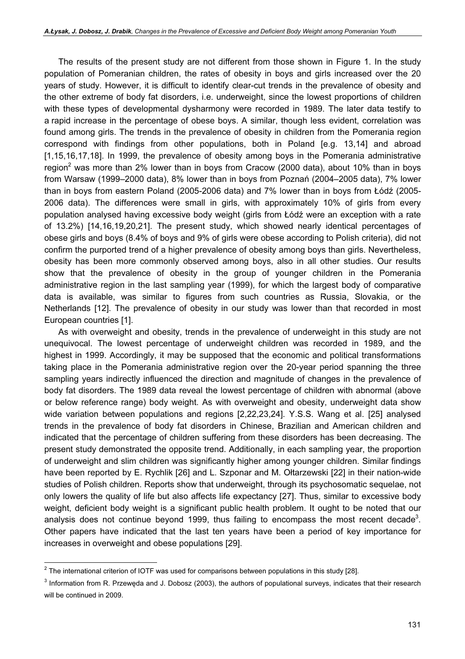The results of the present study are not different from those shown in Figure 1. In the study population of Pomeranian children, the rates of obesity in boys and girls increased over the 20 years of study. However, it is difficult to identify clear-cut trends in the prevalence of obesity and the other extreme of body fat disorders, i.e. underweight, since the lowest proportions of children with these types of developmental dysharmony were recorded in 1989. The later data testify to a rapid increase in the percentage of obese boys. A similar, though less evident, correlation was found among girls. The trends in the prevalence of obesity in children from the Pomerania region correspond with findings from other populations, both in Poland [e.g. 13,14] and abroad [1,15,16,17,18]. In 1999, the prevalence of obesity among boys in the Pomerania administrative region<sup>2</sup> was more than 2% lower than in boys from Cracow (2000 data), about 10% than in boys from Warsaw (1999–2000 data), 8% lower than in boys from Poznań (2004–2005 data), 7% lower than in boys from eastern Poland (2005-2006 data) and 7% lower than in boys from Łódź (2005- 2006 data). The differences were small in girls, with approximately 10% of girls from every population analysed having excessive body weight (girls from Łódź were an exception with a rate of 13.2%) [14,16,19,20,21]. The present study, which showed nearly identical percentages of obese girls and boys (8.4% of boys and 9% of girls were obese according to Polish criteria), did not confirm the purported trend of a higher prevalence of obesity among boys than girls. Nevertheless, obesity has been more commonly observed among boys, also in all other studies. Our results show that the prevalence of obesity in the group of younger children in the Pomerania administrative region in the last sampling year (1999), for which the largest body of comparative data is available, was similar to figures from such countries as Russia, Slovakia, or the Netherlands [12]. The prevalence of obesity in our study was lower than that recorded in most European countries [1].

As with overweight and obesity, trends in the prevalence of underweight in this study are not unequivocal. The lowest percentage of underweight children was recorded in 1989, and the highest in 1999. Accordingly, it may be supposed that the economic and political transformations taking place in the Pomerania administrative region over the 20-year period spanning the three sampling years indirectly influenced the direction and magnitude of changes in the prevalence of body fat disorders. The 1989 data reveal the lowest percentage of children with abnormal (above or below reference range) body weight. As with overweight and obesity, underweight data show wide variation between populations and regions [2,22,23,24]. Y.S.S. Wang et al. [25] analysed trends in the prevalence of body fat disorders in Chinese, Brazilian and American children and indicated that the percentage of children suffering from these disorders has been decreasing. The present study demonstrated the opposite trend. Additionally, in each sampling year, the proportion of underweight and slim children was significantly higher among younger children. Similar findings have been reported by E. Rychlik [26] and L. Szponar and M. Ołtarzewski [22] in their nation-wide studies of Polish children. Reports show that underweight, through its psychosomatic sequelae, not only lowers the quality of life but also affects life expectancy [27]. Thus, similar to excessive body weight, deficient body weight is a significant public health problem. It ought to be noted that our analysis does not continue beyond 1999, thus failing to encompass the most recent decade<sup>3</sup>. Other papers have indicated that the last ten years have been a period of key importance for increases in overweight and obese populations [29].

 $2$  The international criterion of IOTF was used for comparisons between populations in this study [28].

 $^3$  Information from R. Przeweda and J. Dobosz (2003), the authors of populational surveys, indicates that their research will be continued in 2009.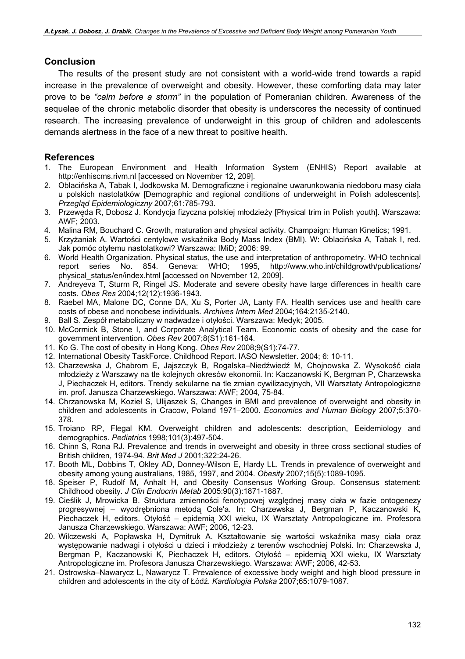#### **Conclusion**

The results of the present study are not consistent with a world-wide trend towards a rapid increase in the prevalence of overweight and obesity. However, these comforting data may later prove to be "calm before a storm" in the population of Pomeranian children. Awareness of the sequelae of the chronic metabolic disorder that obesity is underscores the necessity of continued research. The increasing prevalence of underweight in this group of children and adolescents demands alertness in the face of a new threat to positive health.

#### References

- 1. The European Environment and Health Information System (ENHIS) Report available at http://enhiscms.rivm.nl [accessed on November 12, 209].
- 2. Oblacińska A, Tabak I, Jodkowska M. Demograficzne i regionalne uwarunkowania niedoboru masy ciała u polskich nastolatków [Demographic and regional conditions of underweight in Polish adolescents]. Przegląd Epidemiologiczny 2007;61:785-793.
- 3. Przewęda R, Dobosz J. Kondycja fizyczna polskiej młodzieży [Physical trim in Polish youth]. Warszawa: AWF; 2003.
- 4. Malina RM, Bouchard C. Growth, maturation and physical activity. Champaign: Human Kinetics; 1991.
- 5. Krzyżaniak A. Wartości centylowe wskaźnika Body Mass Index (BMI). W: Oblacińska A, Tabak I, red. Jak pomóc otyłemu nastolatkowi? Warszawa: IMiD; 2006: 99.
- 6. World Health Organization. Physical status, the use and interpretation of anthropometry. WHO technical report series No. 854. Geneva: WHO; 1995, http://www.who.int/childgrowth/publications/ physical\_status/en/index.html [accessed on November 12, 2009].
- 7. Andreyeva T, Sturm R, Ringel JS. Moderate and severe obesity have large differences in health care costs. Obes Res 2004;12(12):1936-1943.
- 8. Raebel MA, Malone DC, Conne DA, Xu S, Porter JA, Lanty FA. Health services use and health care costs of obese and nonobese individuals. Archives Intern Med 2004;164:2135-2140.
- 9. Ball S. Zespół metaboliczny w nadwadze i otyłości. Warszawa: Medyk; 2005.
- 10. McCormick B, Stone I, and Corporate Analytical Team. Economic costs of obesity and the case for government intervention. Obes Rev 2007;8(S1):161-164.
- 11. Ko G. The cost of obesity in Hong Kong. Obes Rev 2008;9(S1):74-77.
- 12. International Obesity TaskForce. Childhood Report. IASO Newsletter. 2004; 6: 10-11.
- 13. Charzewska J, Chabrom E, Jajszczyk B, Rogalska–Niedźwiedź M, Chojnowska Z. Wysokość ciała młodzieży z Warszawy na tle kolejnych okresów ekonomii. In: Kaczanowski K, Bergman P, Charzewska J, Piechaczek H, editors. Trendy sekularne na tle zmian cywilizacyjnych, VII Warsztaty Antropologiczne im. prof. Janusza Charzewskiego. Warszawa: AWF; 2004, 75-84.
- 14. Chrzanowska M, Kozieł S, Ulijaszek S, Changes in BMI and prevalence of overweight and obesity in children and adolescents in Cracow, Poland 1971–2000. Economics and Human Biology 2007;5:370- 378.
- 15. Troiano RP, Flegal KM. Overweight children and adolescents: description, Eeidemiology and demographics. Pediatrics 1998;101(3):497-504.
- 16. Chinn S, Rona RJ. Prevalence and trends in overweight and obesity in three cross sectional studies of British children, 1974-94. Brit Med J 2001;322:24-26.
- 17. Booth ML, Dobbins T, Okley AD, Donney-Wilson E, Hardy LL. Trends in prevalence of overweight and obesity among young australians, 1985, 1997, and 2004. Obesity 2007;15(5):1089-1095.
- 18. Speiser P, Rudolf M, Anhalt H, and Obesity Consensus Working Group. Consensus statement: Childhood obesity. J Clin Endocrin Metab 2005:90(3):1871-1887.
- 19. Cieślik J, Mrowicka B. Struktura zmienności fenotypowej względnej masy ciała w fazie ontogenezy progresywnej – wyodrębniona metodą Cole'a. In: Charzewska J, Bergman P, Kaczanowski K, Piechaczek H, editors. Otyłość – epidemią XXI wieku, IX Warsztaty Antropologiczne im. Profesora Janusza Charzewskiego. Warszawa: AWF; 2006, 12-23.
- 20. Wilczewski A, Popławska H, Dymitruk A. Kształtowanie się wartości wskaźnika masy ciała oraz występowanie nadwagi i otyłości u dzieci i młodzieży z terenów wschodniej Polski. In: Charzewska J, Bergman P, Kaczanowski K, Piechaczek H, editors. Otyłość – epidemią XXI wieku, IX Warsztaty Antropologiczne im. Profesora Janusza Charzewskiego. Warszawa: AWF; 2006, 42-53.
- 21. Ostrowska–Nawarycz L, Nawarycz T. Prevalence of excessive body weight and high blood pressure in children and adolescents in the city of Łódź. Kardiologia Polska 2007;65:1079-1087.